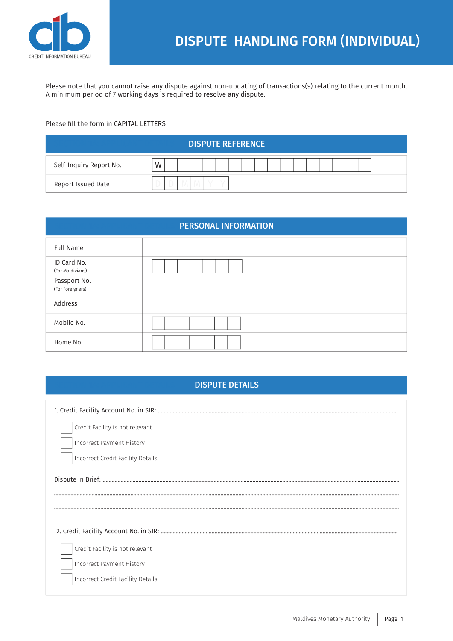

Please note that you cannot raise any dispute against non-updating of transactions(s) relating to the current month. A minimum period of 7 working days is required to resolve any dispute.

## Please fill the form in CAPITAL LETTERS

| <b>DISPUTE REFERENCE</b> |     |  |  |  |
|--------------------------|-----|--|--|--|
| Self-Inquiry Report No.  | W   |  |  |  |
| Report Issued Date       | ر ا |  |  |  |

| <b>PERSONAL INFORMATION</b>      |  |  |
|----------------------------------|--|--|
| <b>Full Name</b>                 |  |  |
| ID Card No.<br>(For Maldivians)  |  |  |
| Passport No.<br>(For Foreigners) |  |  |
| Address                          |  |  |
| Mobile No.                       |  |  |
| Home No.                         |  |  |

| <b>DISPUTE DETAILS</b> |
|------------------------|
|                        |

| Credit Facility is not relevant   |
|-----------------------------------|
| Incorrect Payment History         |
| Incorrect Credit Facility Details |
|                                   |
|                                   |
|                                   |
|                                   |
| Credit Facility is not relevant   |
| <b>Incorrect Payment History</b>  |
| Incorrect Credit Facility Details |
|                                   |